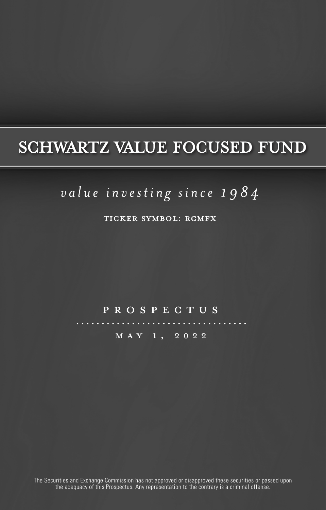## **SCHWARTZ VALUE FOCUSED FUND**

## value investing since 1984

TICKER SYMBOL: RCMFX

#### prospectus

may 1, 2022

The Securities and Exchange Commission has not approved or disapproved these securities or passed upon the adequacy of this Prospectus. Any representation to the contrary is a criminal offense.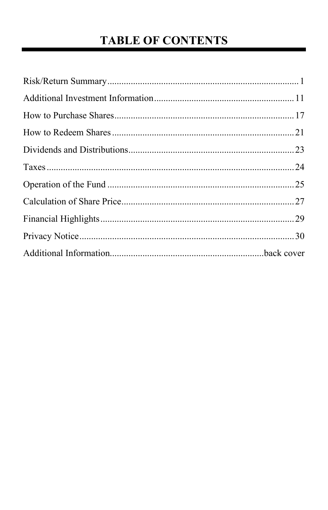## **TABLE OF CONTENTS**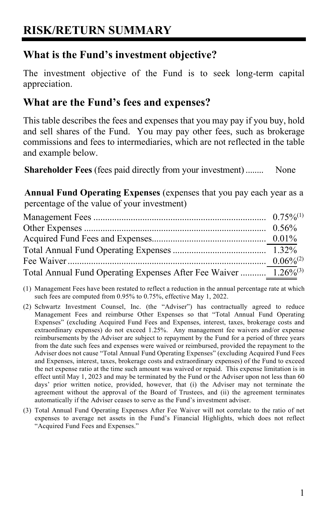## <span id="page-2-0"></span>**RISK/RETURN SUMMARY**

### **What is the Fund's investment objective?**

The investment objective of the Fund is to seek long-term capital appreciation.

#### **What are the Fund's fees and expenses?**

This table describes the fees and expenses that you may pay if you buy, hold and sell shares of the Fund. You may pay other fees, such as brokerage commissions and fees to intermediaries, which are not reflected in the table and example below.

**Shareholder Fees** (fees paid directly from your investment)........ None

**Annual Fund Operating Expenses** (expenses that you pay each year as a percentage of the value of your investment)

| Total Annual Fund Operating Expenses After Fee Waiver  1.26% <sup>(3)</sup> |  |
|-----------------------------------------------------------------------------|--|

- (1) Management Fees have been restated to reflect a reduction in the annual percentage rate at which such fees are computed from 0.95% to 0.75%, effective May 1, 2022.
- (2) Schwartz Investment Counsel, Inc. (the "Adviser") has contractually agreed to reduce Management Fees and reimburse Other Expenses so that "Total Annual Fund Operating Expenses" (excluding Acquired Fund Fees and Expenses, interest, taxes, brokerage costs and extraordinary expenses) do not exceed 1.25%. Any management fee waivers and/or expense reimbursements by the Adviser are subject to repayment by the Fund for a period of three years from the date such fees and expenses were waived or reimbursed, provided the repayment to the Adviser does not cause "Total Annual Fund Operating Expenses" (excluding Acquired Fund Fees and Expenses, interest, taxes, brokerage costs and extraordinary expenses) of the Fund to exceed the net expense ratio at the time such amount was waived or repaid. This expense limitation is in effect until May 1, 2023 and may be terminated by the Fund or the Adviser upon not less than 60 days' prior written notice, provided, however, that (i) the Adviser may not terminate the agreement without the approval of the Board of Trustees, and (ii) the agreement terminates automatically if the Adviser ceases to serve as the Fund's investment adviser.
- (3) Total Annual Fund Operating Expenses After Fee Waiver will not correlate to the ratio of net expenses to average net assets in the Fund's Financial Highlights, which does not reflect "Acquired Fund Fees and Expenses."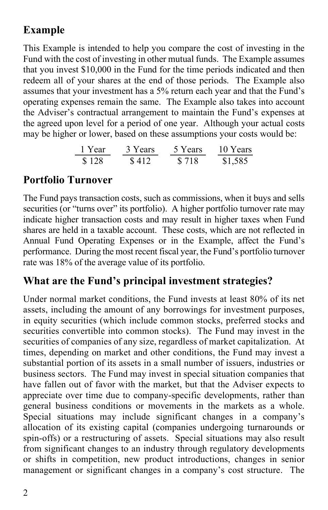### **Example**

This Example is intended to help you compare the cost of investing in the Fund with the cost of investing in other mutual funds. The Example assumes that you invest \$10,000 in the Fund for the time periods indicated and then redeem all of your shares at the end of those periods. The Example also assumes that your investment has a 5% return each year and that the Fund's operating expenses remain the same. The Example also takes into account the Adviser's contractual arrangement to maintain the Fund's expenses at the agreed upon level for a period of one year. Although your actual costs may be higher or lower, based on these assumptions your costs would be:

1 Year 3 Years 5 Years 10 Years \$ 128 \$ 412 \$ 718 \$1,585

### **Portfolio Turnover**

The Fund pays transaction costs, such as commissions, when it buys and sells securities (or "turns over" its portfolio). A higher portfolio turnover rate may indicate higher transaction costs and may result in higher taxes when Fund shares are held in a taxable account. These costs, which are not reflected in Annual Fund Operating Expenses or in the Example, affect the Fund's performance. During the most recent fiscal year, the Fund's portfolio turnover rate was 18% of the average value of its portfolio.

#### **What are the Fund's principal investment strategies?**

Under normal market conditions, the Fund invests at least 80% of its net assets, including the amount of any borrowings for investment purposes, in equity securities (which include common stocks, preferred stocks and securities convertible into common stocks). The Fund may invest in the securities of companies of any size, regardless of market capitalization. At times, depending on market and other conditions, the Fund may invest a substantial portion of its assets in a small number of issuers, industries or business sectors. The Fund may invest in special situation companies that have fallen out of favor with the market, but that the Adviser expects to appreciate over time due to company-specific developments, rather than general business conditions or movements in the markets as a whole. Special situations may include significant changes in a company's allocation of its existing capital (companies undergoing turnarounds or spin-offs) or a restructuring of assets. Special situations may also result from significant changes to an industry through regulatory developments or shifts in competition, new product introductions, changes in senior management or significant changes in a company's cost structure. The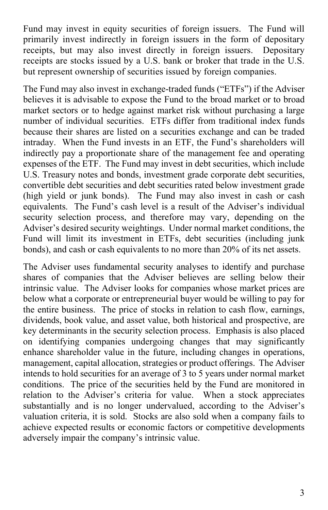Fund may invest in equity securities of foreign issuers. The Fund will primarily invest indirectly in foreign issuers in the form of depositary receipts, but may also invest directly in foreign issuers. Depositary receipts are stocks issued by a U.S. bank or broker that trade in the U.S. but represent ownership of securities issued by foreign companies.

The Fund may also invest in exchange-traded funds ("ETFs") if the Adviser believes it is advisable to expose the Fund to the broad market or to broad market sectors or to hedge against market risk without purchasing a large number of individual securities. ETFs differ from traditional index funds because their shares are listed on a securities exchange and can be traded intraday. When the Fund invests in an ETF, the Fund's shareholders will indirectly pay a proportionate share of the management fee and operating expenses of the ETF. The Fund may invest in debt securities, which include U.S. Treasury notes and bonds, investment grade corporate debt securities, convertible debt securities and debt securities rated below investment grade (high yield or junk bonds). The Fund may also invest in cash or cash equivalents. The Fund's cash level is a result of the Adviser's individual security selection process, and therefore may vary, depending on the Adviser's desired security weightings. Under normal market conditions, the Fund will limit its investment in ETFs, debt securities (including junk bonds), and cash or cash equivalents to no more than 20% of its net assets.

The Adviser uses fundamental security analyses to identify and purchase shares of companies that the Adviser believes are selling below their intrinsic value. The Adviser looks for companies whose market prices are below what a corporate or entrepreneurial buyer would be willing to pay for the entire business. The price of stocks in relation to cash flow, earnings, dividends, book value, and asset value, both historical and prospective, are key determinants in the security selection process. Emphasis is also placed on identifying companies undergoing changes that may significantly enhance shareholder value in the future, including changes in operations, management, capital allocation, strategies or product offerings. The Adviser intends to hold securities for an average of 3 to 5 years under normal market conditions. The price of the securities held by the Fund are monitored in relation to the Adviser's criteria for value. When a stock appreciates substantially and is no longer undervalued, according to the Adviser's valuation criteria, it is sold. Stocks are also sold when a company fails to achieve expected results or economic factors or competitive developments adversely impair the company's intrinsic value.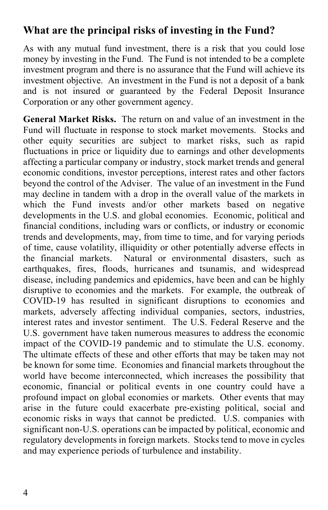### **What are the principal risks of investing in the Fund?**

As with any mutual fund investment, there is a risk that you could lose money by investing in the Fund. The Fund is not intended to be a complete investment program and there is no assurance that the Fund will achieve its investment objective. An investment in the Fund is not a deposit of a bank and is not insured or guaranteed by the Federal Deposit Insurance Corporation or any other government agency.

**General Market Risks.** The return on and value of an investment in the Fund will fluctuate in response to stock market movements. Stocks and other equity securities are subject to market risks, such as rapid fluctuations in price or liquidity due to earnings and other developments affecting a particular company or industry, stock market trends and general economic conditions, investor perceptions, interest rates and other factors beyond the control of the Adviser. The value of an investment in the Fund may decline in tandem with a drop in the overall value of the markets in which the Fund invests and/or other markets based on negative developments in the U.S. and global economies. Economic, political and financial conditions, including wars or conflicts, or industry or economic trends and developments, may, from time to time, and for varying periods of time, cause volatility, illiquidity or other potentially adverse effects in the financial markets. Natural or environmental disasters, such as earthquakes, fires, floods, hurricanes and tsunamis, and widespread disease, including pandemics and epidemics, have been and can be highly disruptive to economies and the markets. For example, the outbreak of COVID-19 has resulted in significant disruptions to economies and markets, adversely affecting individual companies, sectors, industries, interest rates and investor sentiment. The U.S. Federal Reserve and the U.S. government have taken numerous measures to address the economic impact of the COVID-19 pandemic and to stimulate the U.S. economy. The ultimate effects of these and other efforts that may be taken may not be known for some time. Economies and financial markets throughout the world have become interconnected, which increases the possibility that economic, financial or political events in one country could have a profound impact on global economies or markets. Other events that may arise in the future could exacerbate pre-existing political, social and economic risks in ways that cannot be predicted. U.S. companies with significant non-U.S. operations can be impacted by political, economic and regulatory developments in foreign markets. Stocks tend to move in cycles and may experience periods of turbulence and instability.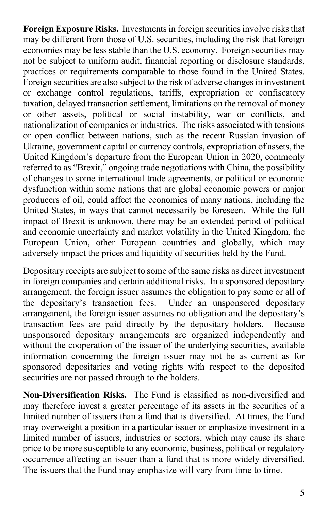**Foreign Exposure Risks.** Investments in foreign securities involve risks that may be different from those of U.S. securities, including the risk that foreign economies may be less stable than the U.S. economy. Foreign securities may not be subject to uniform audit, financial reporting or disclosure standards, practices or requirements comparable to those found in the United States. Foreign securities are also subject to the risk of adverse changes in investment or exchange control regulations, tariffs, expropriation or confiscatory taxation, delayed transaction settlement, limitations on the removal of money or other assets, political or social instability, war or conflicts, and nationalization of companies or industries. The risks associated with tensions or open conflict between nations, such as the recent Russian invasion of Ukraine, government capital or currency controls, expropriation of assets, the United Kingdom's departure from the European Union in 2020, commonly referred to as "Brexit," ongoing trade negotiations with China, the possibility of changes to some international trade agreements, or political or economic dysfunction within some nations that are global economic powers or major producers of oil, could affect the economies of many nations, including the United States, in ways that cannot necessarily be foreseen. While the full impact of Brexit is unknown, there may be an extended period of political and economic uncertainty and market volatility in the United Kingdom, the European Union, other European countries and globally, which may adversely impact the prices and liquidity of securities held by the Fund.

Depositary receipts are subject to some of the same risks as direct investment in foreign companies and certain additional risks. In a sponsored depositary arrangement, the foreign issuer assumes the obligation to pay some or all of the depositary's transaction fees. Under an unsponsored depositary Under an unsponsored depositary arrangement, the foreign issuer assumes no obligation and the depositary's transaction fees are paid directly by the depositary holders. Because unsponsored depositary arrangements are organized independently and without the cooperation of the issuer of the underlying securities, available information concerning the foreign issuer may not be as current as for sponsored depositaries and voting rights with respect to the deposited securities are not passed through to the holders.

**Non-Diversification Risks.** The Fund is classified as non-diversified and may therefore invest a greater percentage of its assets in the securities of a limited number of issuers than a fund that is diversified. At times, the Fund may overweight a position in a particular issuer or emphasize investment in a limited number of issuers, industries or sectors, which may cause its share price to be more susceptible to any economic, business, political or regulatory occurrence affecting an issuer than a fund that is more widely diversified. The issuers that the Fund may emphasize will vary from time to time.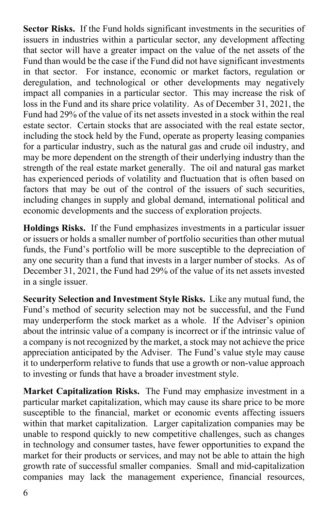**Sector Risks.** If the Fund holds significant investments in the securities of issuers in industries within a particular sector, any development affecting that sector will have a greater impact on the value of the net assets of the Fund than would be the case if the Fund did not have significant investments in that sector. For instance, economic or market factors, regulation or deregulation, and technological or other developments may negatively impact all companies in a particular sector. This may increase the risk of loss in the Fund and its share price volatility. As of December 31, 2021, the Fund had 29% of the value of its net assets invested in a stock within the real estate sector. Certain stocks that are associated with the real estate sector, including the stock held by the Fund, operate as property leasing companies for a particular industry, such as the natural gas and crude oil industry, and may be more dependent on the strength of their underlying industry than the strength of the real estate market generally. The oil and natural gas market has experienced periods of volatility and fluctuation that is often based on factors that may be out of the control of the issuers of such securities, including changes in supply and global demand, international political and economic developments and the success of exploration projects.

**Holdings Risks.** If the Fund emphasizes investments in a particular issuer or issuers or holds a smaller number of portfolio securities than other mutual funds, the Fund's portfolio will be more susceptible to the depreciation of any one security than a fund that invests in a larger number of stocks. As of December 31, 2021, the Fund had 29% of the value of its net assets invested in a single issuer.

**Security Selection and Investment Style Risks.** Like any mutual fund, the Fund's method of security selection may not be successful, and the Fund may underperform the stock market as a whole. If the Adviser's opinion about the intrinsic value of a company is incorrect or if the intrinsic value of a company is not recognized by the market, a stock may not achieve the price appreciation anticipated by the Adviser. The Fund's value style may cause it to underperform relative to funds that use a growth or non-value approach to investing or funds that have a broader investment style.

**Market Capitalization Risks.** The Fund may emphasize investment in a particular market capitalization, which may cause its share price to be more susceptible to the financial, market or economic events affecting issuers within that market capitalization. Larger capitalization companies may be unable to respond quickly to new competitive challenges, such as changes in technology and consumer tastes, have fewer opportunities to expand the market for their products or services, and may not be able to attain the high growth rate of successful smaller companies. Small and mid-capitalization companies may lack the management experience, financial resources,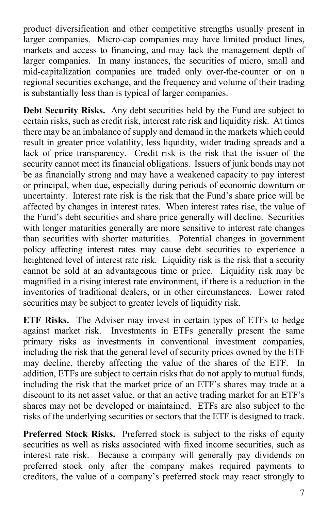product diversification and other competitive strengths usually present in larger companies. Micro-cap companies may have limited product lines, markets and access to financing, and may lack the management depth of larger companies. In many instances, the securities of micro, small and mid-capitalization companies are traded only over-the-counter or on a regional securities exchange, and the frequency and volume of their trading is substantially less than is typical of larger companies.

**Debt Security Risks.** Any debt securities held by the Fund are subject to certain risks, such as credit risk, interest rate risk and liquidity risk. At times there may be an imbalance of supply and demand in the markets which could result in greater price volatility, less liquidity, wider trading spreads and a lack of price transparency. Credit risk is the risk that the issuer of the security cannot meet its financial obligations. Issuers of junk bonds may not be as financially strong and may have a weakened capacity to pay interest or principal, when due, especially during periods of economic downturn or uncertainty. Interest rate risk is the risk that the Fund's share price will be affected by changes in interest rates. When interest rates rise, the value of the Fund's debt securities and share price generally will decline. Securities with longer maturities generally are more sensitive to interest rate changes than securities with shorter maturities. Potential changes in government policy affecting interest rates may cause debt securities to experience a heightened level of interest rate risk. Liquidity risk is the risk that a security cannot be sold at an advantageous time or price. Liquidity risk may be magnified in a rising interest rate environment, if there is a reduction in the inventories of traditional dealers, or in other circumstances. Lower rated securities may be subject to greater levels of liquidity risk.

**ETF Risks.** The Adviser may invest in certain types of ETFs to hedge against market risk. Investments in ETFs generally present the same primary risks as investments in conventional investment companies, including the risk that the general level of security prices owned by the ETF may decline, thereby affecting the value of the shares of the ETF. In addition, ETFs are subject to certain risks that do not apply to mutual funds, including the risk that the market price of an ETF's shares may trade at a discount to its net asset value, or that an active trading market for an ETF's shares may not be developed or maintained. ETFs are also subject to the risks of the underlying securities or sectors that the ETF is designed to track.

**Preferred Stock Risks.** Preferred stock is subject to the risks of equity securities as well as risks associated with fixed income securities, such as interest rate risk. Because a company will generally pay dividends on preferred stock only after the company makes required payments to creditors, the value of a company's preferred stock may react strongly to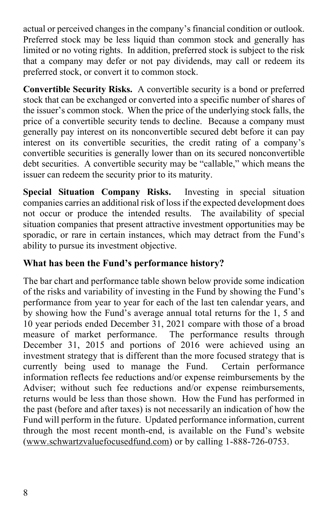actual or perceived changes in the company's financial condition or outlook. Preferred stock may be less liquid than common stock and generally has limited or no voting rights. In addition, preferred stock is subject to the risk that a company may defer or not pay dividends, may call or redeem its preferred stock, or convert it to common stock.

**Convertible Security Risks.** A convertible security is a bond or preferred stock that can be exchanged or converted into a specific number of shares of the issuer's common stock. When the price of the underlying stock falls, the price of a convertible security tends to decline. Because a company must generally pay interest on its nonconvertible secured debt before it can pay interest on its convertible securities, the credit rating of a company's convertible securities is generally lower than on its secured nonconvertible debt securities. A convertible security may be "callable," which means the issuer can redeem the security prior to its maturity.

**Special Situation Company Risks.** Investing in special situation companies carries an additional risk of loss if the expected development does not occur or produce the intended results. The availability of special situation companies that present attractive investment opportunities may be sporadic, or rare in certain instances, which may detract from the Fund's ability to pursue its investment objective.

#### **What has been the Fund's performance history?**

The bar chart and performance table shown below provide some indication of the risks and variability of investing in the Fund by showing the Fund's performance from year to year for each of the last ten calendar years, and by showing how the Fund's average annual total returns for the 1, 5 and 10 year periods ended December 31, 2021 compare with those of a broad measure of market performance. The performance results through December 31, 2015 and portions of 2016 were achieved using an investment strategy that is different than the more focused strategy that is currently being used to manage the Fund. Certain performance information reflects fee reductions and/or expense reimbursements by the Adviser; without such fee reductions and/or expense reimbursements, returns would be less than those shown. How the Fund has performed in the past (before and after taxes) is not necessarily an indication of how the Fund will perform in the future. Updated performance information, current through the most recent month-end, is available on the Fund's website [\(www.schwartzvaluefocusedfund.com\)](http://www.schwartzvaluefocusedfund.com/) or by calling 1-888-726-0753.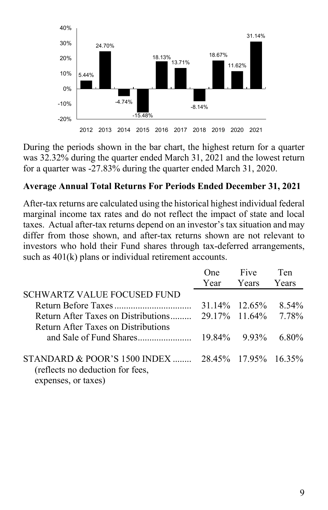

During the periods shown in the bar chart, the highest return for a quarter was 32.32% during the quarter ended March 31, 2021 and the lowest return for a quarter was -27.83% during the quarter ended March 31, 2020.

#### **Average Annual Total Returns For Periods Ended December 31, 2021**

After-tax returns are calculated using the historical highest individual federal marginal income tax rates and do not reflect the impact of state and local taxes. Actual after-tax returns depend on an investor's tax situation and may differ from those shown, and after-tax returns shown are not relevant to investors who hold their Fund shares through tax-deferred arrangements, such as  $401(k)$  plans or individual retirement accounts.

|                                                    | One) | Five            | Ten      |
|----------------------------------------------------|------|-----------------|----------|
|                                                    | Year | <b>S</b> Years  | Years    |
| SCHWARTZ VALUE FOCUSED FUND                        |      |                 |          |
|                                                    |      | 31.14\% 12.65\% | $8.54\%$ |
| Return After Taxes on Distributions                |      | 29.17% 11.64%   | 7.78%    |
| Return After Taxes on Distributions                |      |                 |          |
|                                                    |      | $19.84\%$ 9.93% | $6.80\%$ |
|                                                    |      |                 |          |
| STANDARD & POOR'S 1500 INDEX  28.45% 17.95% 16.35% |      |                 |          |
| (reflects no deduction for fees,                   |      |                 |          |
| expenses, or taxes)                                |      |                 |          |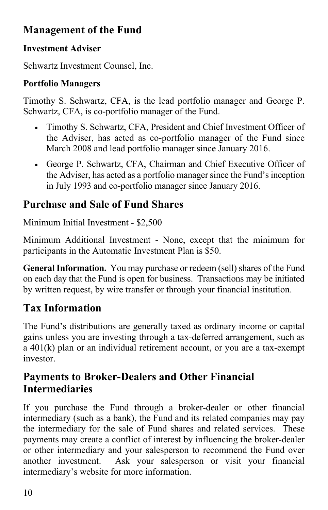### **Management of the Fund**

### **Investment Adviser**

Schwartz Investment Counsel, Inc.

### **Portfolio Managers**

Timothy S. Schwartz, CFA, is the lead portfolio manager and George P. Schwartz, CFA, is co-portfolio manager of the Fund.

- Timothy S. Schwartz, CFA, President and Chief Investment Officer of the Adviser, has acted as co-portfolio manager of the Fund since March 2008 and lead portfolio manager since January 2016.
- George P. Schwartz, CFA, Chairman and Chief Executive Officer of the Adviser, has acted as a portfolio manager since the Fund's inception in July 1993 and co-portfolio manager since January 2016.

## **Purchase and Sale of Fund Shares**

Minimum Initial Investment - \$2,500

Minimum Additional Investment - None, except that the minimum for participants in the Automatic Investment Plan is \$50.

**General Information.** You may purchase or redeem (sell) shares of the Fund on each day that the Fund is open for business. Transactions may be initiated by written request, by wire transfer or through your financial institution.

### **Tax Information**

The Fund's distributions are generally taxed as ordinary income or capital gains unless you are investing through a tax-deferred arrangement, such as a 401(k) plan or an individual retirement account, or you are a tax-exempt investor.

### **Payments to Broker-Dealers and Other Financial Intermediaries**

If you purchase the Fund through a broker-dealer or other financial intermediary (such as a bank), the Fund and its related companies may pay the intermediary for the sale of Fund shares and related services. These payments may create a conflict of interest by influencing the broker-dealer or other intermediary and your salesperson to recommend the Fund over another investment. Ask your salesperson or visit your financial intermediary's website for more information.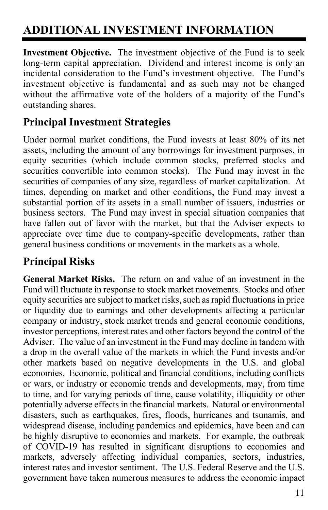## <span id="page-12-0"></span>**ADDITIONAL INVESTMENT INFORMATION**

**Investment Objective.** The investment objective of the Fund is to seek long-term capital appreciation. Dividend and interest income is only an incidental consideration to the Fund's investment objective. The Fund's investment objective is fundamental and as such may not be changed without the affirmative vote of the holders of a majority of the Fund's outstanding shares.

### **Principal Investment Strategies**

Under normal market conditions, the Fund invests at least 80% of its net assets, including the amount of any borrowings for investment purposes, in equity securities (which include common stocks, preferred stocks and securities convertible into common stocks). The Fund may invest in the securities of companies of any size, regardless of market capitalization. At times, depending on market and other conditions, the Fund may invest a substantial portion of its assets in a small number of issuers, industries or business sectors. The Fund may invest in special situation companies that have fallen out of favor with the market, but that the Adviser expects to appreciate over time due to company-specific developments, rather than general business conditions or movements in the markets as a whole.

### **Principal Risks**

**General Market Risks.** The return on and value of an investment in the Fund will fluctuate in response to stock market movements. Stocks and other equity securities are subject to market risks, such as rapid fluctuations in price or liquidity due to earnings and other developments affecting a particular company or industry, stock market trends and general economic conditions, investor perceptions, interest rates and other factors beyond the control of the Adviser. The value of an investment in the Fund may decline in tandem with a drop in the overall value of the markets in which the Fund invests and/or other markets based on negative developments in the U.S. and global economies. Economic, political and financial conditions, including conflicts or wars, or industry or economic trends and developments, may, from time to time, and for varying periods of time, cause volatility, illiquidity or other potentially adverse effects in the financial markets. Natural or environmental disasters, such as earthquakes, fires, floods, hurricanes and tsunamis, and widespread disease, including pandemics and epidemics, have been and can be highly disruptive to economies and markets. For example, the outbreak of COVID-19 has resulted in significant disruptions to economies and markets, adversely affecting individual companies, sectors, industries, interest rates and investor sentiment. The U.S. Federal Reserve and the U.S. government have taken numerous measures to address the economic impact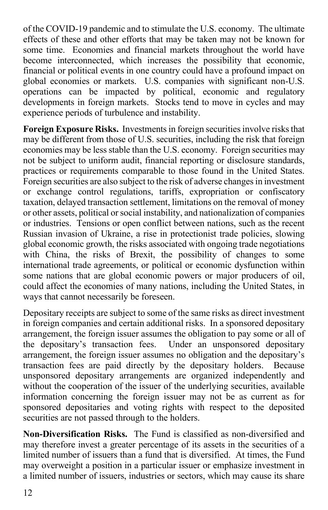of the COVID-19 pandemic and to stimulate the U.S. economy. The ultimate effects of these and other efforts that may be taken may not be known for some time. Economies and financial markets throughout the world have become interconnected, which increases the possibility that economic, financial or political events in one country could have a profound impact on global economies or markets. U.S. companies with significant non-U.S. operations can be impacted by political, economic and regulatory developments in foreign markets. Stocks tend to move in cycles and may experience periods of turbulence and instability.

**Foreign Exposure Risks.** Investments in foreign securities involve risks that may be different from those of U.S. securities, including the risk that foreign economies may be less stable than the U.S. economy. Foreign securities may not be subject to uniform audit, financial reporting or disclosure standards, practices or requirements comparable to those found in the United States. Foreign securities are also subject to the risk of adverse changes in investment or exchange control regulations, tariffs, expropriation or confiscatory taxation, delayed transaction settlement, limitations on the removal of money or other assets, political or social instability, and nationalization of companies or industries. Tensions or open conflict between nations, such as the recent Russian invasion of Ukraine, a rise in protectionist trade policies, slowing global economic growth, the risks associated with ongoing trade negotiations with China, the risks of Brexit, the possibility of changes to some international trade agreements, or political or economic dysfunction within some nations that are global economic powers or major producers of oil, could affect the economies of many nations, including the United States, in ways that cannot necessarily be foreseen.

Depositary receipts are subject to some of the same risks as direct investment in foreign companies and certain additional risks. In a sponsored depositary arrangement, the foreign issuer assumes the obligation to pay some or all of the depositary's transaction fees. Under an unsponsored depositary arrangement, the foreign issuer assumes no obligation and the depositary's transaction fees are paid directly by the depositary holders. Because unsponsored depositary arrangements are organized independently and without the cooperation of the issuer of the underlying securities, available information concerning the foreign issuer may not be as current as for sponsored depositaries and voting rights with respect to the deposited securities are not passed through to the holders.

**Non-Diversification Risks.** The Fund is classified as non-diversified and may therefore invest a greater percentage of its assets in the securities of a limited number of issuers than a fund that is diversified. At times, the Fund may overweight a position in a particular issuer or emphasize investment in a limited number of issuers, industries or sectors, which may cause its share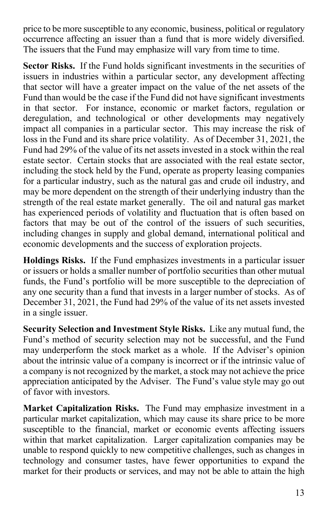price to be more susceptible to any economic, business, political or regulatory occurrence affecting an issuer than a fund that is more widely diversified. The issuers that the Fund may emphasize will vary from time to time.

**Sector Risks.** If the Fund holds significant investments in the securities of issuers in industries within a particular sector, any development affecting that sector will have a greater impact on the value of the net assets of the Fund than would be the case if the Fund did not have significant investments in that sector. For instance, economic or market factors, regulation or deregulation, and technological or other developments may negatively impact all companies in a particular sector. This may increase the risk of loss in the Fund and its share price volatility. As of December 31, 2021, the Fund had 29% of the value of its net assets invested in a stock within the real estate sector. Certain stocks that are associated with the real estate sector, including the stock held by the Fund, operate as property leasing companies for a particular industry, such as the natural gas and crude oil industry, and may be more dependent on the strength of their underlying industry than the strength of the real estate market generally. The oil and natural gas market has experienced periods of volatility and fluctuation that is often based on factors that may be out of the control of the issuers of such securities, including changes in supply and global demand, international political and economic developments and the success of exploration projects.

**Holdings Risks.** If the Fund emphasizes investments in a particular issuer or issuers or holds a smaller number of portfolio securities than other mutual funds, the Fund's portfolio will be more susceptible to the depreciation of any one security than a fund that invests in a larger number of stocks. As of December 31, 2021, the Fund had 29% of the value of its net assets invested in a single issuer.

**Security Selection and Investment Style Risks.** Like any mutual fund, the Fund's method of security selection may not be successful, and the Fund may underperform the stock market as a whole. If the Adviser's opinion about the intrinsic value of a company is incorrect or if the intrinsic value of a company is not recognized by the market, a stock may not achieve the price appreciation anticipated by the Adviser. The Fund's value style may go out of favor with investors.

**Market Capitalization Risks.** The Fund may emphasize investment in a particular market capitalization, which may cause its share price to be more susceptible to the financial, market or economic events affecting issuers within that market capitalization. Larger capitalization companies may be unable to respond quickly to new competitive challenges, such as changes in technology and consumer tastes, have fewer opportunities to expand the market for their products or services, and may not be able to attain the high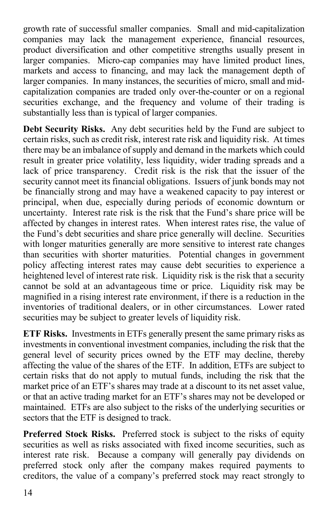growth rate of successful smaller companies. Small and mid-capitalization companies may lack the management experience, financial resources, product diversification and other competitive strengths usually present in larger companies. Micro-cap companies may have limited product lines, markets and access to financing, and may lack the management depth of larger companies. In many instances, the securities of micro, small and midcapitalization companies are traded only over-the-counter or on a regional securities exchange, and the frequency and volume of their trading is substantially less than is typical of larger companies.

**Debt Security Risks.** Any debt securities held by the Fund are subject to certain risks, such as credit risk, interest rate risk and liquidity risk. At times there may be an imbalance of supply and demand in the markets which could result in greater price volatility, less liquidity, wider trading spreads and a lack of price transparency. Credit risk is the risk that the issuer of the security cannot meet its financial obligations. Issuers of junk bonds may not be financially strong and may have a weakened capacity to pay interest or principal, when due, especially during periods of economic downturn or uncertainty. Interest rate risk is the risk that the Fund's share price will be affected by changes in interest rates. When interest rates rise, the value of the Fund's debt securities and share price generally will decline. Securities with longer maturities generally are more sensitive to interest rate changes than securities with shorter maturities. Potential changes in government policy affecting interest rates may cause debt securities to experience a heightened level of interest rate risk. Liquidity risk is the risk that a security cannot be sold at an advantageous time or price. Liquidity risk may be magnified in a rising interest rate environment, if there is a reduction in the inventories of traditional dealers, or in other circumstances. Lower rated securities may be subject to greater levels of liquidity risk.

**ETF Risks.** Investments in ETFs generally present the same primary risks as investments in conventional investment companies, including the risk that the general level of security prices owned by the ETF may decline, thereby affecting the value of the shares of the ETF. In addition, ETFs are subject to certain risks that do not apply to mutual funds, including the risk that the market price of an ETF's shares may trade at a discount to its net asset value, or that an active trading market for an ETF's shares may not be developed or maintained. ETFs are also subject to the risks of the underlying securities or sectors that the ETF is designed to track.

**Preferred Stock Risks.** Preferred stock is subject to the risks of equity securities as well as risks associated with fixed income securities, such as interest rate risk. Because a company will generally pay dividends on preferred stock only after the company makes required payments to creditors, the value of a company's preferred stock may react strongly to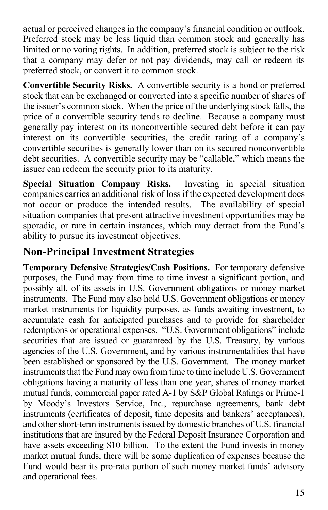actual or perceived changes in the company's financial condition or outlook. Preferred stock may be less liquid than common stock and generally has limited or no voting rights. In addition, preferred stock is subject to the risk that a company may defer or not pay dividends, may call or redeem its preferred stock, or convert it to common stock.

**Convertible Security Risks.** A convertible security is a bond or preferred stock that can be exchanged or converted into a specific number of shares of the issuer's common stock. When the price of the underlying stock falls, the price of a convertible security tends to decline. Because a company must generally pay interest on its nonconvertible secured debt before it can pay interest on its convertible securities, the credit rating of a company's convertible securities is generally lower than on its secured nonconvertible debt securities. A convertible security may be "callable," which means the issuer can redeem the security prior to its maturity.

**Special Situation Company Risks.** Investing in special situation companies carries an additional risk of loss if the expected development does not occur or produce the intended results. The availability of special situation companies that present attractive investment opportunities may be sporadic, or rare in certain instances, which may detract from the Fund's ability to pursue its investment objectives.

### **Non-Principal Investment Strategies**

**Temporary Defensive Strategies/Cash Positions.** For temporary defensive purposes, the Fund may from time to time invest a significant portion, and possibly all, of its assets in U.S. Government obligations or money market instruments. The Fund may also hold U.S. Government obligations or money market instruments for liquidity purposes, as funds awaiting investment, to accumulate cash for anticipated purchases and to provide for shareholder redemptions or operational expenses. "U.S. Government obligations" include securities that are issued or guaranteed by the U.S. Treasury, by various agencies of the U.S. Government, and by various instrumentalities that have been established or sponsored by the U.S. Government. The money market instruments that the Fund may own from time to time include U.S. Government obligations having a maturity of less than one year, shares of money market mutual funds, commercial paper rated A-1 by S&P Global Ratings or Prime-1 by Moody's Investors Service, Inc., repurchase agreements, bank debt instruments (certificates of deposit, time deposits and bankers' acceptances), and other short-term instruments issued by domestic branches of U.S. financial institutions that are insured by the Federal Deposit Insurance Corporation and have assets exceeding \$10 billion. To the extent the Fund invests in money market mutual funds, there will be some duplication of expenses because the Fund would bear its pro-rata portion of such money market funds' advisory and operational fees.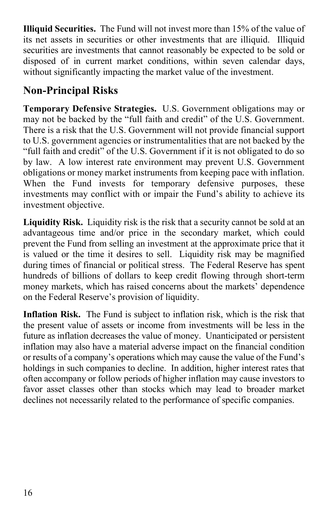**Illiquid Securities.** The Fund will not invest more than 15% of the value of its net assets in securities or other investments that are illiquid. Illiquid securities are investments that cannot reasonably be expected to be sold or disposed of in current market conditions, within seven calendar days, without significantly impacting the market value of the investment.

### **Non-Principal Risks**

**Temporary Defensive Strategies.** U.S. Government obligations may or may not be backed by the "full faith and credit" of the U.S. Government. There is a risk that the U.S. Government will not provide financial support to U.S. government agencies or instrumentalities that are not backed by the "full faith and credit" of the U.S. Government if it is not obligated to do so by law. A low interest rate environment may prevent U.S. Government obligations or money market instruments from keeping pace with inflation. When the Fund invests for temporary defensive purposes, these investments may conflict with or impair the Fund's ability to achieve its investment objective.

Liquidity Risk. Liquidity risk is the risk that a security cannot be sold at an advantageous time and/or price in the secondary market, which could prevent the Fund from selling an investment at the approximate price that it is valued or the time it desires to sell. Liquidity risk may be magnified during times of financial or political stress. The Federal Reserve has spent hundreds of billions of dollars to keep credit flowing through short-term money markets, which has raised concerns about the markets' dependence on the Federal Reserve's provision of liquidity.

**Inflation Risk.** The Fund is subject to inflation risk, which is the risk that the present value of assets or income from investments will be less in the future as inflation decreases the value of money. Unanticipated or persistent inflation may also have a material adverse impact on the financial condition or results of a company's operations which may cause the value of the Fund's holdings in such companies to decline. In addition, higher interest rates that often accompany or follow periods of higher inflation may cause investors to favor asset classes other than stocks which may lead to broader market declines not necessarily related to the performance of specific companies.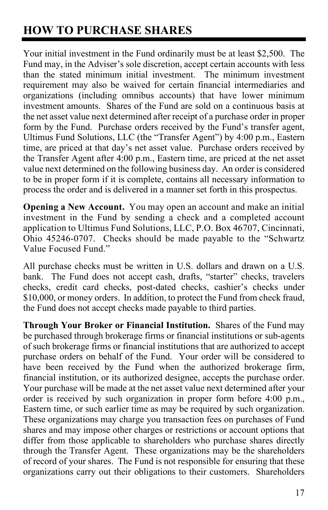## <span id="page-18-0"></span>**HOW TO PURCHASE SHARES**

Your initial investment in the Fund ordinarily must be at least \$2,500. The Fund may, in the Adviser's sole discretion, accept certain accounts with less than the stated minimum initial investment. The minimum investment requirement may also be waived for certain financial intermediaries and organizations (including omnibus accounts) that have lower minimum investment amounts. Shares of the Fund are sold on a continuous basis at the net asset value next determined after receipt of a purchase order in proper form by the Fund. Purchase orders received by the Fund's transfer agent, Ultimus Fund Solutions, LLC (the "Transfer Agent") by 4:00 p.m., Eastern time, are priced at that day's net asset value. Purchase orders received by the Transfer Agent after 4:00 p.m., Eastern time, are priced at the net asset value next determined on the following business day. An order is considered to be in proper form if it is complete, contains all necessary information to process the order and is delivered in a manner set forth in this prospectus.

**Opening a New Account.** You may open an account and make an initial investment in the Fund by sending a check and a completed account application to Ultimus Fund Solutions, LLC, P.O. Box 46707, Cincinnati, Ohio 45246-0707. Checks should be made payable to the "Schwartz Value Focused Fund."

All purchase checks must be written in U.S. dollars and drawn on a U.S. bank. The Fund does not accept cash, drafts, "starter" checks, travelers checks, credit card checks, post-dated checks, cashier's checks under \$10,000, or money orders. In addition, to protect the Fund from check fraud, the Fund does not accept checks made payable to third parties.

**Through Your Broker or Financial Institution.** Shares of the Fund may be purchased through brokerage firms or financial institutions or sub-agents of such brokerage firms or financial institutions that are authorized to accept purchase orders on behalf of the Fund. Your order will be considered to have been received by the Fund when the authorized brokerage firm, financial institution, or its authorized designee, accepts the purchase order. Your purchase will be made at the net asset value next determined after your order is received by such organization in proper form before 4:00 p.m., Eastern time, or such earlier time as may be required by such organization. These organizations may charge you transaction fees on purchases of Fund shares and may impose other charges or restrictions or account options that differ from those applicable to shareholders who purchase shares directly through the Transfer Agent. These organizations may be the shareholders of record of your shares. The Fund is not responsible for ensuring that these organizations carry out their obligations to their customers. Shareholders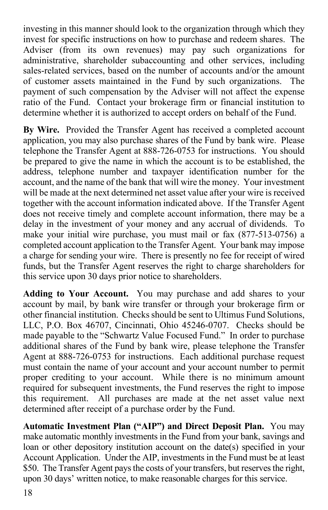investing in this manner should look to the organization through which they invest for specific instructions on how to purchase and redeem shares. The Adviser (from its own revenues) may pay such organizations for administrative, shareholder subaccounting and other services, including sales-related services, based on the number of accounts and/or the amount of customer assets maintained in the Fund by such organizations. The payment of such compensation by the Adviser will not affect the expense ratio of the Fund. Contact your brokerage firm or financial institution to determine whether it is authorized to accept orders on behalf of the Fund.

**By Wire.** Provided the Transfer Agent has received a completed account application, you may also purchase shares of the Fund by bank wire. Please telephone the Transfer Agent at 888-726-0753 for instructions. You should be prepared to give the name in which the account is to be established, the address, telephone number and taxpayer identification number for the account, and the name of the bank that will wire the money. Your investment will be made at the next determined net asset value after your wire is received together with the account information indicated above. If the Transfer Agent does not receive timely and complete account information, there may be a delay in the investment of your money and any accrual of dividends. To make your initial wire purchase, you must mail or fax (877-513-0756) a completed account application to the Transfer Agent. Your bank may impose a charge for sending your wire. There is presently no fee for receipt of wired funds, but the Transfer Agent reserves the right to charge shareholders for this service upon 30 days prior notice to shareholders.

**Adding to Your Account.** You may purchase and add shares to your account by mail, by bank wire transfer or through your brokerage firm or other financial institution. Checks should be sent to Ultimus Fund Solutions, LLC, P.O. Box 46707, Cincinnati, Ohio 45246-0707. Checks should be made payable to the "Schwartz Value Focused Fund." In order to purchase additional shares of the Fund by bank wire, please telephone the Transfer Agent at 888-726-0753 for instructions. Each additional purchase request must contain the name of your account and your account number to permit proper crediting to your account. While there is no minimum amount required for subsequent investments, the Fund reserves the right to impose this requirement. All purchases are made at the net asset value next determined after receipt of a purchase order by the Fund.

**Automatic Investment Plan ("AIP") and Direct Deposit Plan.** You may make automatic monthly investments in the Fund from your bank, savings and loan or other depository institution account on the date(s) specified in your Account Application. Under the AIP, investments in the Fund must be at least \$50. The Transfer Agent pays the costs of your transfers, but reserves the right, upon 30 days' written notice, to make reasonable charges for this service.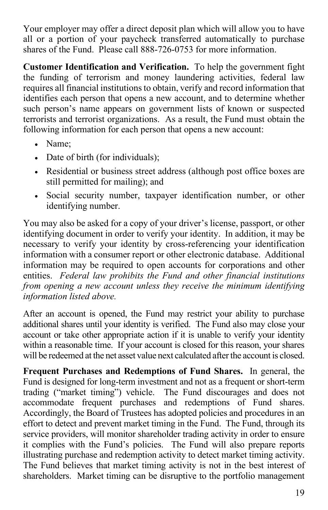Your employer may offer a direct deposit plan which will allow you to have all or a portion of your paycheck transferred automatically to purchase shares of the Fund. Please call 888-726-0753 for more information.

**Customer Identification and Verification.** To help the government fight the funding of terrorism and money laundering activities, federal law requires all financial institutions to obtain, verify and record information that identifies each person that opens a new account, and to determine whether such person's name appears on government lists of known or suspected terrorists and terrorist organizations. As a result, the Fund must obtain the following information for each person that opens a new account:

- Name;
- Date of birth (for individuals);
- Residential or business street address (although post office boxes are still permitted for mailing); and
- Social security number, taxpayer identification number, or other identifying number.

You may also be asked for a copy of your driver's license, passport, or other identifying document in order to verify your identity. In addition, it may be necessary to verify your identity by cross-referencing your identification information with a consumer report or other electronic database. Additional information may be required to open accounts for corporations and other entities. *Federal law prohibits the Fund and other financial institutions from opening a new account unless they receive the minimum identifying information listed above.* 

After an account is opened, the Fund may restrict your ability to purchase additional shares until your identity is verified. The Fund also may close your account or take other appropriate action if it is unable to verify your identity within a reasonable time. If your account is closed for this reason, your shares will be redeemed at the net asset value next calculated after the account is closed.

**Frequent Purchases and Redemptions of Fund Shares.** In general, the Fund is designed for long-term investment and not as a frequent or short-term trading ("market timing") vehicle. The Fund discourages and does not accommodate frequent purchases and redemptions of Fund shares. Accordingly, the Board of Trustees has adopted policies and procedures in an effort to detect and prevent market timing in the Fund. The Fund, through its service providers, will monitor shareholder trading activity in order to ensure it complies with the Fund's policies. The Fund will also prepare reports illustrating purchase and redemption activity to detect market timing activity. The Fund believes that market timing activity is not in the best interest of shareholders. Market timing can be disruptive to the portfolio management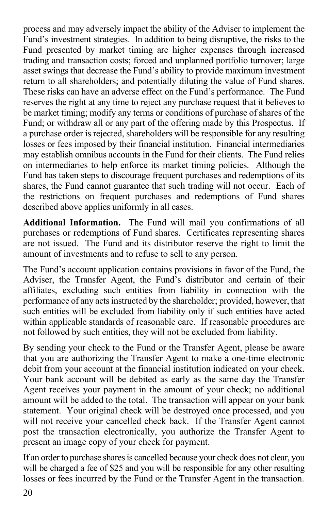process and may adversely impact the ability of the Adviser to implement the Fund's investment strategies. In addition to being disruptive, the risks to the Fund presented by market timing are higher expenses through increased trading and transaction costs; forced and unplanned portfolio turnover; large asset swings that decrease the Fund's ability to provide maximum investment return to all shareholders; and potentially diluting the value of Fund shares. These risks can have an adverse effect on the Fund's performance. The Fund reserves the right at any time to reject any purchase request that it believes to be market timing; modify any terms or conditions of purchase of shares of the Fund; or withdraw all or any part of the offering made by this Prospectus. If a purchase order is rejected, shareholders will be responsible for any resulting losses or fees imposed by their financial institution. Financial intermediaries may establish omnibus accounts in the Fund for their clients. The Fund relies on intermediaries to help enforce its market timing policies. Although the Fund has taken steps to discourage frequent purchases and redemptions of its shares, the Fund cannot guarantee that such trading will not occur. Each of the restrictions on frequent purchases and redemptions of Fund shares described above applies uniformly in all cases.

**Additional Information.** The Fund will mail you confirmations of all purchases or redemptions of Fund shares. Certificates representing shares are not issued. The Fund and its distributor reserve the right to limit the amount of investments and to refuse to sell to any person.

The Fund's account application contains provisions in favor of the Fund, the Adviser, the Transfer Agent, the Fund's distributor and certain of their affiliates, excluding such entities from liability in connection with the performance of any acts instructed by the shareholder; provided, however, that such entities will be excluded from liability only if such entities have acted within applicable standards of reasonable care. If reasonable procedures are not followed by such entities, they will not be excluded from liability.

By sending your check to the Fund or the Transfer Agent, please be aware that you are authorizing the Transfer Agent to make a one-time electronic debit from your account at the financial institution indicated on your check. Your bank account will be debited as early as the same day the Transfer Agent receives your payment in the amount of your check; no additional amount will be added to the total. The transaction will appear on your bank statement. Your original check will be destroyed once processed, and you will not receive your cancelled check back. If the Transfer Agent cannot post the transaction electronically, you authorize the Transfer Agent to present an image copy of your check for payment.

If an order to purchase shares is cancelled because your check does not clear, you will be charged a fee of \$25 and you will be responsible for any other resulting losses or fees incurred by the Fund or the Transfer Agent in the transaction.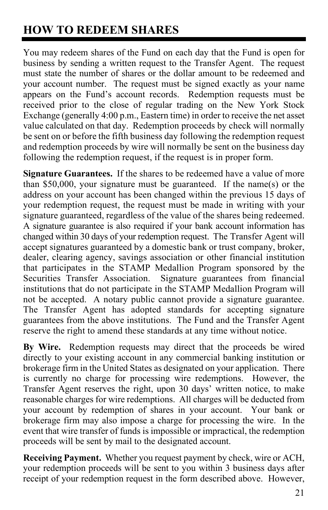## <span id="page-22-0"></span>**HOW TO REDEEM SHARES**

You may redeem shares of the Fund on each day that the Fund is open for business by sending a written request to the Transfer Agent. The request must state the number of shares or the dollar amount to be redeemed and your account number. The request must be signed exactly as your name appears on the Fund's account records. Redemption requests must be received prior to the close of regular trading on the New York Stock Exchange (generally 4:00 p.m., Eastern time) in order to receive the net asset value calculated on that day. Redemption proceeds by check will normally be sent on or before the fifth business day following the redemption request and redemption proceeds by wire will normally be sent on the business day following the redemption request, if the request is in proper form.

**Signature Guarantees.** If the shares to be redeemed have a value of more than \$50,000, your signature must be guaranteed. If the name(s) or the address on your account has been changed within the previous 15 days of your redemption request, the request must be made in writing with your signature guaranteed, regardless of the value of the shares being redeemed. A signature guarantee is also required if your bank account information has changed within 30 days of your redemption request. The Transfer Agent will accept signatures guaranteed by a domestic bank or trust company, broker, dealer, clearing agency, savings association or other financial institution that participates in the STAMP Medallion Program sponsored by the Securities Transfer Association. Signature guarantees from financial institutions that do not participate in the STAMP Medallion Program will not be accepted. A notary public cannot provide a signature guarantee. The Transfer Agent has adopted standards for accepting signature guarantees from the above institutions. The Fund and the Transfer Agent reserve the right to amend these standards at any time without notice.

**By Wire.** Redemption requests may direct that the proceeds be wired directly to your existing account in any commercial banking institution or brokerage firm in the United States as designated on your application. There is currently no charge for processing wire redemptions. However, the Transfer Agent reserves the right, upon 30 days' written notice, to make reasonable charges for wire redemptions. All charges will be deducted from your account by redemption of shares in your account. Your bank or brokerage firm may also impose a charge for processing the wire. In the event that wire transfer of funds is impossible or impractical, the redemption proceeds will be sent by mail to the designated account.

**Receiving Payment.** Whether you request payment by check, wire or ACH, your redemption proceeds will be sent to you within 3 business days after receipt of your redemption request in the form described above. However,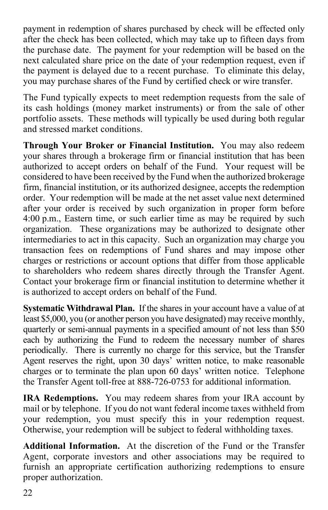payment in redemption of shares purchased by check will be effected only after the check has been collected, which may take up to fifteen days from the purchase date. The payment for your redemption will be based on the next calculated share price on the date of your redemption request, even if the payment is delayed due to a recent purchase. To eliminate this delay, you may purchase shares of the Fund by certified check or wire transfer.

The Fund typically expects to meet redemption requests from the sale of its cash holdings (money market instruments) or from the sale of other portfolio assets. These methods will typically be used during both regular and stressed market conditions.

**Through Your Broker or Financial Institution.** You may also redeem your shares through a brokerage firm or financial institution that has been authorized to accept orders on behalf of the Fund. Your request will be considered to have been received by the Fund when the authorized brokerage firm, financial institution, or its authorized designee, accepts the redemption order. Your redemption will be made at the net asset value next determined after your order is received by such organization in proper form before 4:00 p.m., Eastern time, or such earlier time as may be required by such organization. These organizations may be authorized to designate other intermediaries to act in this capacity. Such an organization may charge you transaction fees on redemptions of Fund shares and may impose other charges or restrictions or account options that differ from those applicable to shareholders who redeem shares directly through the Transfer Agent. Contact your brokerage firm or financial institution to determine whether it is authorized to accept orders on behalf of the Fund.

**Systematic Withdrawal Plan.** If the shares in your account have a value of at least \$5,000, you (or another person you have designated) may receive monthly, quarterly or semi-annual payments in a specified amount of not less than \$50 each by authorizing the Fund to redeem the necessary number of shares periodically. There is currently no charge for this service, but the Transfer Agent reserves the right, upon 30 days' written notice, to make reasonable charges or to terminate the plan upon 60 days' written notice. Telephone the Transfer Agent toll-free at 888-726-0753 for additional information.

**IRA Redemptions.** You may redeem shares from your IRA account by mail or by telephone. If you do not want federal income taxes withheld from your redemption, you must specify this in your redemption request. Otherwise, your redemption will be subject to federal withholding taxes.

**Additional Information.** At the discretion of the Fund or the Transfer Agent, corporate investors and other associations may be required to furnish an appropriate certification authorizing redemptions to ensure proper authorization.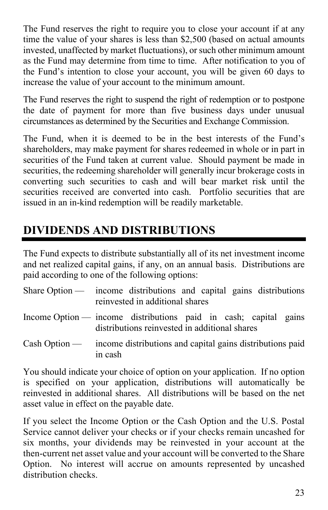The Fund reserves the right to require you to close your account if at any time the value of your shares is less than \$2,500 (based on actual amounts invested, unaffected by market fluctuations), or such other minimum amount as the Fund may determine from time to time. After notification to you of the Fund's intention to close your account, you will be given 60 days to increase the value of your account to the minimum amount.

The Fund reserves the right to suspend the right of redemption or to postpone the date of payment for more than five business days under unusual circumstances as determined by the Securities and Exchange Commission.

The Fund, when it is deemed to be in the best interests of the Fund's shareholders, may make payment for shares redeemed in whole or in part in securities of the Fund taken at current value. Should payment be made in securities, the redeeming shareholder will generally incur brokerage costs in converting such securities to cash and will bear market risk until the securities received are converted into cash. Portfolio securities that are issued in an in-kind redemption will be readily marketable.

## <span id="page-24-0"></span>**DIVIDENDS AND DISTRIBUTIONS**

The Fund expects to distribute substantially all of its net investment income and net realized capital gains, if any, on an annual basis. Distributions are paid according to one of the following options:

| Share Option — income distributions and capital gains distributions<br>reinvested in additional shares                        |
|-------------------------------------------------------------------------------------------------------------------------------|
| Income Option $\frac{1}{2}$ income distributions paid in cash; capital gains<br>distributions reinvested in additional shares |
| Cash Option — income distributions and capital gains distributions paid<br>in cash                                            |

You should indicate your choice of option on your application. If no option is specified on your application, distributions will automatically be reinvested in additional shares. All distributions will be based on the net asset value in effect on the payable date.

If you select the Income Option or the Cash Option and the U.S. Postal Service cannot deliver your checks or if your checks remain uncashed for six months, your dividends may be reinvested in your account at the then-current net asset value and your account will be converted to the Share Option. No interest will accrue on amounts represented by uncashed distribution checks.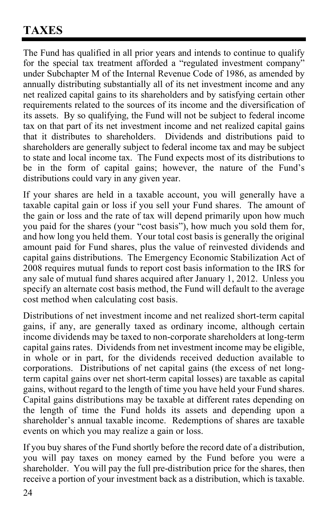## <span id="page-25-0"></span>**TAXES**

The Fund has qualified in all prior years and intends to continue to qualify for the special tax treatment afforded a "regulated investment company" under Subchapter M of the Internal Revenue Code of 1986, as amended by annually distributing substantially all of its net investment income and any net realized capital gains to its shareholders and by satisfying certain other requirements related to the sources of its income and the diversification of its assets. By so qualifying, the Fund will not be subject to federal income tax on that part of its net investment income and net realized capital gains that it distributes to shareholders. Dividends and distributions paid to shareholders are generally subject to federal income tax and may be subject to state and local income tax. The Fund expects most of its distributions to be in the form of capital gains; however, the nature of the Fund's distributions could vary in any given year.

If your shares are held in a taxable account, you will generally have a taxable capital gain or loss if you sell your Fund shares. The amount of the gain or loss and the rate of tax will depend primarily upon how much you paid for the shares (your "cost basis"), how much you sold them for, and how long you held them. Your total cost basis is generally the original amount paid for Fund shares, plus the value of reinvested dividends and capital gains distributions. The Emergency Economic Stabilization Act of 2008 requires mutual funds to report cost basis information to the IRS for any sale of mutual fund shares acquired after January 1, 2012. Unless you specify an alternate cost basis method, the Fund will default to the average cost method when calculating cost basis.

Distributions of net investment income and net realized short-term capital gains, if any, are generally taxed as ordinary income, although certain income dividends may be taxed to non-corporate shareholders at long-term capital gains rates. Dividends from net investment income may be eligible, in whole or in part, for the dividends received deduction available to corporations. Distributions of net capital gains (the excess of net longterm capital gains over net short-term capital losses) are taxable as capital gains, without regard to the length of time you have held your Fund shares. Capital gains distributions may be taxable at different rates depending on the length of time the Fund holds its assets and depending upon a shareholder's annual taxable income. Redemptions of shares are taxable events on which you may realize a gain or loss.

If you buy shares of the Fund shortly before the record date of a distribution, you will pay taxes on money earned by the Fund before you were a shareholder. You will pay the full pre-distribution price for the shares, then receive a portion of your investment back as a distribution, which is taxable.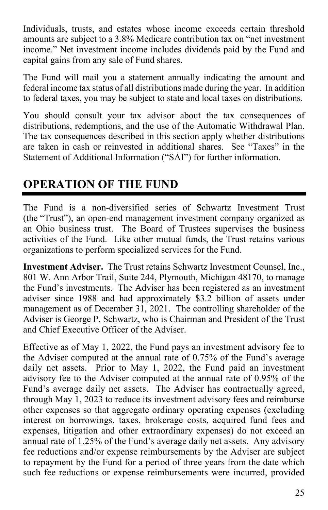Individuals, trusts, and estates whose income exceeds certain threshold amounts are subject to a 3.8% Medicare contribution tax on "net investment income." Net investment income includes dividends paid by the Fund and capital gains from any sale of Fund shares.

The Fund will mail you a statement annually indicating the amount and federal income tax status of all distributions made during the year. In addition to federal taxes, you may be subject to state and local taxes on distributions.

You should consult your tax advisor about the tax consequences of distributions, redemptions, and the use of the Automatic Withdrawal Plan. The tax consequences described in this section apply whether distributions are taken in cash or reinvested in additional shares. See "Taxes" in the Statement of Additional Information ("SAI") for further information.

### <span id="page-26-0"></span>**OPERATION OF THE FUND**

The Fund is a non-diversified series of Schwartz Investment Trust (the "Trust"), an open-end management investment company organized as an Ohio business trust. The Board of Trustees supervises the business activities of the Fund. Like other mutual funds, the Trust retains various organizations to perform specialized services for the Fund.

**Investment Adviser.** The Trust retains Schwartz Investment Counsel, Inc., 801 W. Ann Arbor Trail, Suite 244, Plymouth, Michigan 48170, to manage the Fund's investments. The Adviser has been registered as an investment adviser since 1988 and had approximately \$3.2 billion of assets under management as of December 31, 2021. The controlling shareholder of the Adviser is George P. Schwartz, who is Chairman and President of the Trust and Chief Executive Officer of the Adviser.

Effective as of May 1, 2022, the Fund pays an investment advisory fee to the Adviser computed at the annual rate of 0.75% of the Fund's average daily net assets. Prior to May 1, 2022, the Fund paid an investment advisory fee to the Adviser computed at the annual rate of 0.95% of the Fund's average daily net assets. The Adviser has contractually agreed, through May 1, 2023 to reduce its investment advisory fees and reimburse other expenses so that aggregate ordinary operating expenses (excluding interest on borrowings, taxes, brokerage costs, acquired fund fees and expenses, litigation and other extraordinary expenses) do not exceed an annual rate of 1.25% of the Fund's average daily net assets. Any advisory fee reductions and/or expense reimbursements by the Adviser are subject to repayment by the Fund for a period of three years from the date which such fee reductions or expense reimbursements were incurred, provided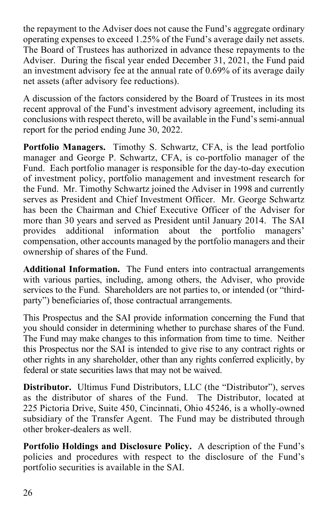the repayment to the Adviser does not cause the Fund's aggregate ordinary operating expenses to exceed 1.25% of the Fund's average daily net assets. The Board of Trustees has authorized in advance these repayments to the Adviser. During the fiscal year ended December 31, 2021, the Fund paid an investment advisory fee at the annual rate of 0.69% of its average daily net assets (after advisory fee reductions).

A discussion of the factors considered by the Board of Trustees in its most recent approval of the Fund's investment advisory agreement, including its conclusions with respect thereto, will be available in the Fund's semi-annual report for the period ending June 30, 2022.

**Portfolio Managers.** Timothy S. Schwartz, CFA, is the lead portfolio manager and George P. Schwartz, CFA, is co-portfolio manager of the Fund. Each portfolio manager is responsible for the day-to-day execution of investment policy, portfolio management and investment research for the Fund. Mr. Timothy Schwartz joined the Adviser in 1998 and currently serves as President and Chief Investment Officer. Mr. George Schwartz has been the Chairman and Chief Executive Officer of the Adviser for more than 30 years and served as President until January 2014. The SAI provides additional information about the portfolio managers' compensation, other accounts managed by the portfolio managers and their ownership of shares of the Fund.

**Additional Information.** The Fund enters into contractual arrangements with various parties, including, among others, the Adviser, who provide services to the Fund. Shareholders are not parties to, or intended (or "thirdparty") beneficiaries of, those contractual arrangements.

This Prospectus and the SAI provide information concerning the Fund that you should consider in determining whether to purchase shares of the Fund. The Fund may make changes to this information from time to time. Neither this Prospectus nor the SAI is intended to give rise to any contract rights or other rights in any shareholder, other than any rights conferred explicitly, by federal or state securities laws that may not be waived.

**Distributor.** Ultimus Fund Distributors, LLC (the "Distributor"), serves as the distributor of shares of the Fund. The Distributor, located at 225 Pictoria Drive, Suite 450, Cincinnati, Ohio 45246, is a wholly-owned subsidiary of the Transfer Agent. The Fund may be distributed through other broker-dealers as well.

**Portfolio Holdings and Disclosure Policy.** A description of the Fund's policies and procedures with respect to the disclosure of the Fund's portfolio securities is available in the SAI.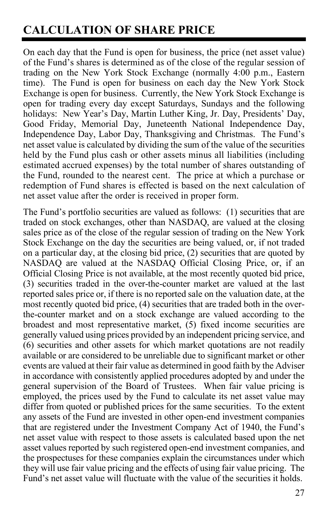## <span id="page-28-0"></span>**CALCULATION OF SHARE PRICE**

On each day that the Fund is open for business, the price (net asset value) of the Fund's shares is determined as of the close of the regular session of trading on the New York Stock Exchange (normally 4:00 p.m., Eastern time). The Fund is open for business on each day the New York Stock Exchange is open for business. Currently, the New York Stock Exchange is open for trading every day except Saturdays, Sundays and the following holidays: New Year's Day, Martin Luther King, Jr. Day, Presidents' Day, Good Friday, Memorial Day, Juneteenth National Independence Day, Independence Day, Labor Day, Thanksgiving and Christmas. The Fund's net asset value is calculated by dividing the sum of the value of the securities held by the Fund plus cash or other assets minus all liabilities (including estimated accrued expenses) by the total number of shares outstanding of the Fund, rounded to the nearest cent. The price at which a purchase or redemption of Fund shares is effected is based on the next calculation of net asset value after the order is received in proper form.

The Fund's portfolio securities are valued as follows: (1) securities that are traded on stock exchanges, other than NASDAQ, are valued at the closing sales price as of the close of the regular session of trading on the New York Stock Exchange on the day the securities are being valued, or, if not traded on a particular day, at the closing bid price, (2) securities that are quoted by NASDAQ are valued at the NASDAQ Official Closing Price, or, if an Official Closing Price is not available, at the most recently quoted bid price, (3) securities traded in the over-the-counter market are valued at the last reported sales price or, if there is no reported sale on the valuation date, at the most recently quoted bid price, (4) securities that are traded both in the overthe-counter market and on a stock exchange are valued according to the broadest and most representative market,  $(5)$  fixed income securities are generally valued using prices provided by an independent pricing service, and (6) securities and other assets for which market quotations are not readily available or are considered to be unreliable due to significant market or other events are valued at their fair value as determined in good faith by the Adviser in accordance with consistently applied procedures adopted by and under the general supervision of the Board of Trustees. When fair value pricing is employed, the prices used by the Fund to calculate its net asset value may differ from quoted or published prices for the same securities. To the extent any assets of the Fund are invested in other open-end investment companies that are registered under the Investment Company Act of 1940, the Fund's net asset value with respect to those assets is calculated based upon the net asset values reported by such registered open-end investment companies, and the prospectuses for these companies explain the circumstances under which they will use fair value pricing and the effects of using fair value pricing. The Fund's net asset value will fluctuate with the value of the securities it holds.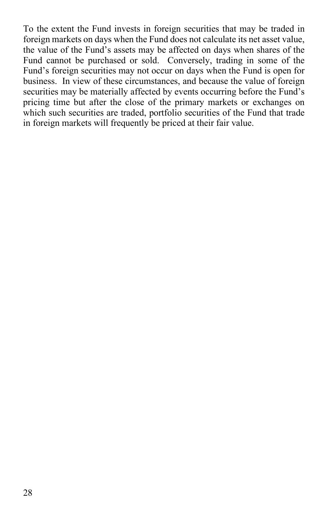To the extent the Fund invests in foreign securities that may be traded in foreign markets on days when the Fund does not calculate its net asset value, the value of the Fund's assets may be affected on days when shares of the Fund cannot be purchased or sold. Conversely, trading in some of the Fund's foreign securities may not occur on days when the Fund is open for business. In view of these circumstances, and because the value of foreign securities may be materially affected by events occurring before the Fund's pricing time but after the close of the primary markets or exchanges on which such securities are traded, portfolio securities of the Fund that trade in foreign markets will frequently be priced at their fair value.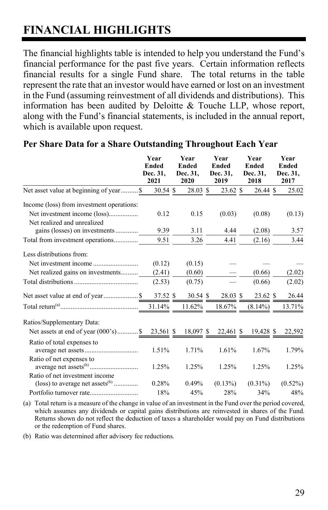## <span id="page-30-0"></span>**FINANCIAL HIGHLIGHTS**

The financial highlights table is intended to help you understand the Fund's financial performance for the past five years. Certain information reflects financial results for a single Fund share. The total returns in the table represent the rate that an investor would have earned or lost on an investment in the Fund (assuming reinvestment of all dividends and distributions). This information has been audited by Deloitte & Touche LLP, whose report, along with the Fund's financial statements, is included in the annual report, which is available upon request.

|                                                                                        | Year<br><b>Ended</b><br>Dec. 31,<br>2021 | Year<br><b>Ended</b><br>Dec. 31,<br>2020 | Year<br><b>Ended</b><br>Dec. 31,<br>2019 | Year<br><b>Ended</b><br>Dec. 31,<br>2018 | Year<br><b>Ended</b><br>Dec. 31,<br>2017 |
|----------------------------------------------------------------------------------------|------------------------------------------|------------------------------------------|------------------------------------------|------------------------------------------|------------------------------------------|
| Net asset value at beginning of year \$                                                | $30.54$ \$                               | 28.03 \$                                 | 23.62 \$                                 | 26.44 \$                                 | 25.02                                    |
| Income (loss) from investment operations:                                              |                                          |                                          |                                          |                                          |                                          |
|                                                                                        | 0.12                                     | 0.15                                     | (0.03)                                   | (0.08)                                   | (0.13)                                   |
| Net realized and unrealized<br>gains (losses) on investments                           | 9.39                                     | 3.11                                     | 4.44                                     | (2.08)                                   | 3.57                                     |
| Total from investment operations                                                       | 9.51                                     | 3.26                                     | 4.41                                     | (2.16)                                   | 3.44                                     |
| Less distributions from:                                                               |                                          |                                          |                                          |                                          |                                          |
|                                                                                        | (0.12)                                   | (0.15)                                   |                                          |                                          |                                          |
| Net realized gains on investments                                                      | (2.41)                                   | (0.60)                                   |                                          | (0.66)                                   | (2.02)                                   |
|                                                                                        | (2.53)                                   | (0.75)                                   |                                          | (0.66)                                   | (2.02)                                   |
|                                                                                        |                                          |                                          | 28.03 \$                                 | 23.62 \$                                 | 26.44                                    |
|                                                                                        |                                          | 11.62%                                   | 18.67%                                   | $(8.14\%)$                               | 13.71%                                   |
| Ratios/Supplementary Data:                                                             |                                          |                                          |                                          |                                          |                                          |
| Net assets at end of year (000's) \$ 23,561 \$                                         |                                          | 18,097 \$                                | 22,461 \$                                | 19,428 \$                                | 22,592                                   |
| Ratio of total expenses to                                                             | 1.51%                                    | 1.71%                                    | 1.61%                                    | 1.67%                                    | 1.79%                                    |
| Ratio of net expenses to                                                               | 1.25%                                    | 1.25%                                    | 1.25%                                    | 1.25%                                    | 1.25%                                    |
| Ratio of net investment income<br>$(\text{loss})$ to average net assets <sup>(b)</sup> | 0.28%                                    | $0.49\%$                                 | $(0.13\%)$                               | $(0.31\%)$                               | $(0.52\%)$                               |
|                                                                                        | 18%                                      | 45%                                      | 28%                                      | 34%                                      | 48%                                      |

#### **Per Share Data for a Share Outstanding Throughout Each Year**

(a) Total return is a measure of the change in value of an investment in the Fund over the period covered, which assumes any dividends or capital gains distributions are reinvested in shares of the Fund. Returns shown do not reflect the deduction of taxes a shareholder would pay on Fund distributions or the redemption of Fund shares.

(b) Ratio was determined after advisory fee reductions.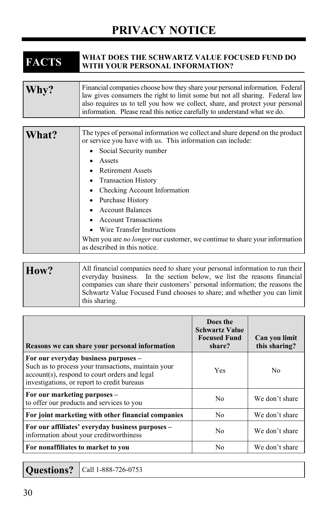## **PRIVACY NOTICE**

# <span id="page-31-0"></span>**FACTS WHAT DOES THE SCHWARTZ VALUE FOCUSED FUND DO WITH YOUR PERSONAL INFORMATION?**

| Why? | Financial companies choose how they share your personal information. Federal<br>law gives consumers the right to limit some but not all sharing. Federal law<br>also requires us to tell you how we collect, share, and protect your personal<br>information. Please read this notice carefully to understand what we do. |
|------|---------------------------------------------------------------------------------------------------------------------------------------------------------------------------------------------------------------------------------------------------------------------------------------------------------------------------|
|      |                                                                                                                                                                                                                                                                                                                           |

| What? | The types of personal information we collect and share depend on the product<br>or service you have with us. This information can include: |
|-------|--------------------------------------------------------------------------------------------------------------------------------------------|
|       | Social Security number                                                                                                                     |
|       | Assets                                                                                                                                     |
|       | <b>Retirement Assets</b>                                                                                                                   |
|       | • Transaction History                                                                                                                      |
|       | Checking Account Information                                                                                                               |
|       | Purchase History                                                                                                                           |
|       | <b>Account Balances</b>                                                                                                                    |
|       | <b>Account Transactions</b>                                                                                                                |
|       | Wire Transfer Instructions                                                                                                                 |
|       | When you are <i>no longer</i> our customer, we continue to share your information<br>as described in this notice.                          |

How? All financial companies need to share your personal information to run their everyday business. In the section below, we list the reasons financial companies can share their customers' personal information; the reasons the Schwartz Value Focused Fund chooses to share; and whether you can limit this sharing.

| Reasons we can share your personal information                                                                                                                                              | Does the<br><b>Schwartz Value</b><br><b>Focused Fund</b><br>share? | Can you limit<br>this sharing? |
|---------------------------------------------------------------------------------------------------------------------------------------------------------------------------------------------|--------------------------------------------------------------------|--------------------------------|
| For our everyday business purposes –<br>Such as to process your transactions, maintain your<br>account(s), respond to court orders and legal<br>investigations, or report to credit bureaus | Yes                                                                | N <sub>0</sub>                 |
| For our marketing purposes -<br>to offer our products and services to you                                                                                                                   | No                                                                 | We don't share                 |
| For joint marketing with other financial companies                                                                                                                                          | No                                                                 | We don't share                 |
| For our affiliates' everyday business purposes –<br>information about your creditworthiness                                                                                                 | No                                                                 | We don't share                 |
| For nonaffiliates to market to you                                                                                                                                                          | No                                                                 | We don't share                 |

**Questions? Call 1-888-726-0753**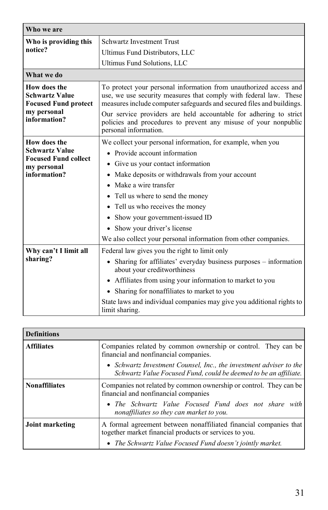| Who we are                                                                                          |                                                                                                                                                                                                                                                                                                                                                                                                                                |
|-----------------------------------------------------------------------------------------------------|--------------------------------------------------------------------------------------------------------------------------------------------------------------------------------------------------------------------------------------------------------------------------------------------------------------------------------------------------------------------------------------------------------------------------------|
| Who is providing this<br>notice?                                                                    | <b>Schwartz Investment Trust</b>                                                                                                                                                                                                                                                                                                                                                                                               |
|                                                                                                     | Ultimus Fund Distributors, LLC                                                                                                                                                                                                                                                                                                                                                                                                 |
|                                                                                                     | Ultimus Fund Solutions, LLC                                                                                                                                                                                                                                                                                                                                                                                                    |
| What we do                                                                                          |                                                                                                                                                                                                                                                                                                                                                                                                                                |
| How does the<br><b>Schwartz Value</b><br><b>Focused Fund protect</b><br>my personal                 | To protect your personal information from unauthorized access and<br>use, we use security measures that comply with federal law. These<br>measures include computer safeguards and secured files and buildings.<br>Our service providers are held accountable for adhering to strict                                                                                                                                           |
| information?                                                                                        | policies and procedures to prevent any misuse of your nonpublic<br>personal information.                                                                                                                                                                                                                                                                                                                                       |
| How does the<br><b>Schwartz Value</b><br><b>Focused Fund collect</b><br>my personal<br>information? | We collect your personal information, for example, when you<br>• Provide account information<br>• Give us your contact information<br>• Make deposits or withdrawals from your account<br>• Make a wire transfer<br>• Tell us where to send the money<br>• Tell us who receives the money<br>Show your government-issued ID<br>• Show your driver's license<br>We also collect your personal information from other companies. |
| Why can't I limit all<br>sharing?                                                                   | Federal law gives you the right to limit only<br>• Sharing for affiliates' everyday business purposes – information<br>about your creditworthiness<br>• Affiliates from using your information to market to you<br>• Sharing for nonaffiliates to market to you<br>State laws and individual companies may give you additional rights to<br>limit sharing.                                                                     |

| <b>Definitions</b>   |                                                                                                                                                                                                                |
|----------------------|----------------------------------------------------------------------------------------------------------------------------------------------------------------------------------------------------------------|
| <b>Affiliates</b>    | Companies related by common ownership or control. They can be<br>financial and nonfinancial companies.                                                                                                         |
|                      | • Schwartz Investment Counsel, Inc., the investment adviser to the<br>Schwartz Value Focused Fund, could be deemed to be an affiliate.                                                                         |
| <b>Nonaffiliates</b> | Companies not related by common ownership or control. They can be<br>financial and nonfinancial companies<br>• The Schwartz Value Focused Fund does not share with<br>nonaffiliates so they can market to you. |
| Joint marketing      | A formal agreement between nonaffiliated financial companies that                                                                                                                                              |
|                      | together market financial products or services to you.<br>• The Schwartz Value Focused Fund doesn't jointly market.                                                                                            |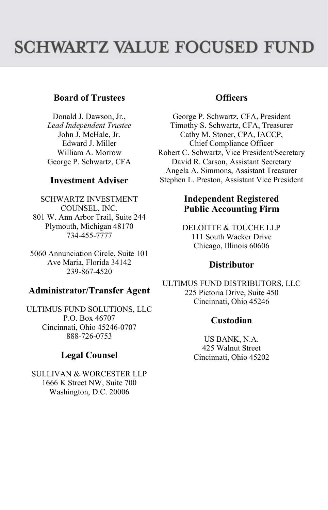# **SCHWARTZ VALUE FOCUSED FUND**

#### **Board of Trustees**

Donald J. Dawson, Jr., *Lead Independent Trustee* John J. McHale, Jr. Edward J. Miller William A. Morrow George P. Schwartz, CFA

#### **Investment Adviser**

SCHWARTZ INVESTMENT COUNSEL, INC. 801 W. Ann Arbor Trail, Suite 244 Plymouth, Michigan 48170 734-455-7777

5060 Annunciation Circle, Suite 101 Ave Maria, Florida 34142 239-867-4520

#### **Administrator/Transfer Agent**

ULTIMUS FUND SOLUTIONS, LLC P.O. Box 46707 Cincinnati, Ohio 45246-0707 888-726-0753

#### **Legal Counsel**

SULLIVAN & WORCESTER LLP 1666 K Street NW, Suite 700 Washington, D.C. 20006

#### **Officers**

George P. Schwartz, CFA, President Timothy S. Schwartz, CFA, Treasurer Cathy M. Stoner, CPA, IACCP, Chief Compliance Officer Robert C. Schwartz, Vice President/Secretary David R. Carson, Assistant Secretary Angela A. Simmons, Assistant Treasurer Stephen L. Preston, Assistant Vice President

#### **Independent Registered Public Accounting Firm**

DELOITTE & TOUCHE LLP 111 South Wacker Drive Chicago, Illinois 60606

#### **Distributor**

ULTIMUS FUND DISTRIBUTORS, LLC 225 Pictoria Drive, Suite 450 Cincinnati, Ohio 45246

#### **Custodian**

US BANK, N.A. 425 Walnut Street Cincinnati, Ohio 45202